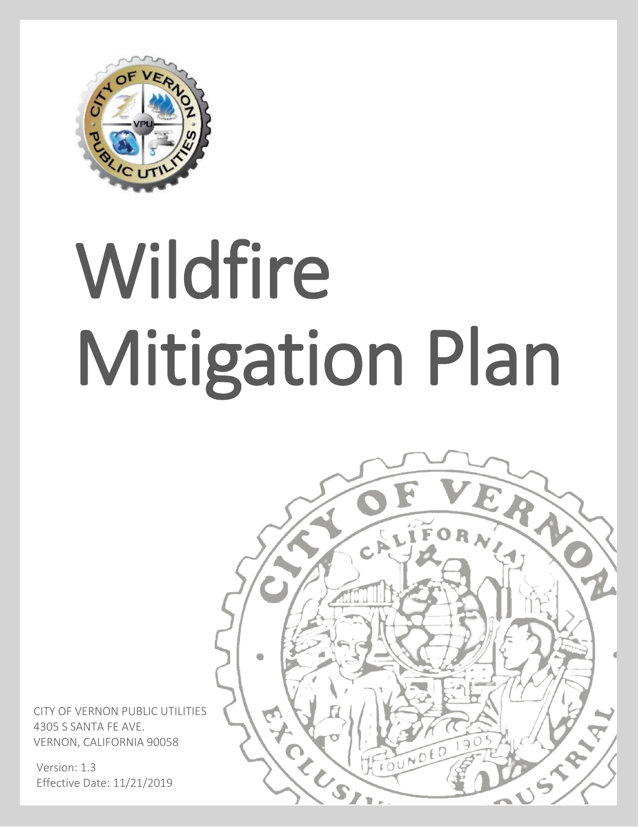

# Wildfire Mitigation Plan



CITY OF VERNON PUBLIC UTILITIES 4305 S SANTA FE AVE. VERNON, CALIFORNIA 90058

Version: 1.3 Effective Date: 11/21/2019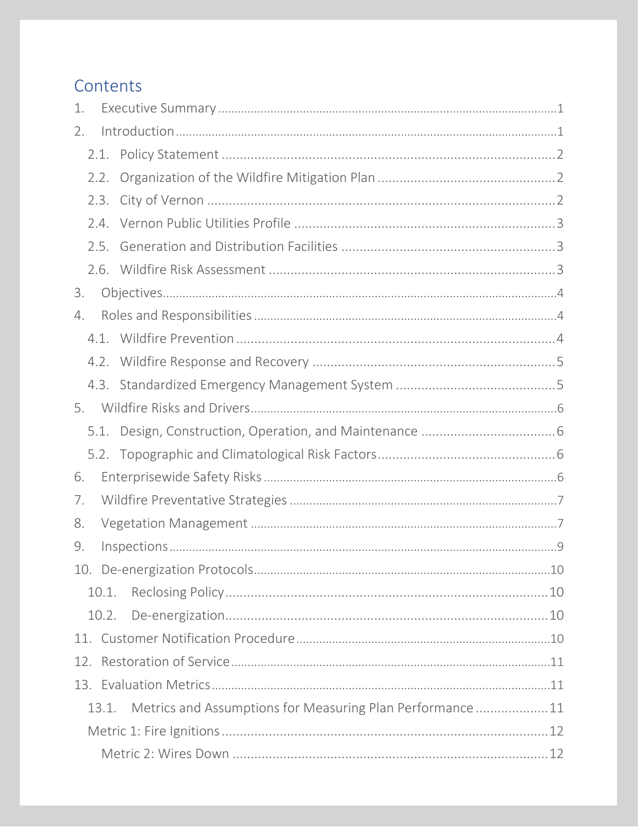### Contents

| 1. |       |                                                          |  |  |  |
|----|-------|----------------------------------------------------------|--|--|--|
| 2. |       |                                                          |  |  |  |
|    | 2.1.  |                                                          |  |  |  |
|    | 2.2.  |                                                          |  |  |  |
|    | 2.3.  |                                                          |  |  |  |
|    | 2.4.  |                                                          |  |  |  |
|    | 2.5.  |                                                          |  |  |  |
|    |       |                                                          |  |  |  |
| 3. |       |                                                          |  |  |  |
| 4. |       |                                                          |  |  |  |
|    |       |                                                          |  |  |  |
|    | 4.2.  |                                                          |  |  |  |
|    |       |                                                          |  |  |  |
| 5. |       |                                                          |  |  |  |
|    | 5.1.  |                                                          |  |  |  |
|    |       |                                                          |  |  |  |
| 6. |       |                                                          |  |  |  |
| 7. |       |                                                          |  |  |  |
| 8. |       |                                                          |  |  |  |
| 9. |       |                                                          |  |  |  |
|    |       |                                                          |  |  |  |
|    | 10.1. |                                                          |  |  |  |
|    | 10.2. |                                                          |  |  |  |
|    |       |                                                          |  |  |  |
|    |       |                                                          |  |  |  |
|    |       |                                                          |  |  |  |
|    | 13.1. | Metrics and Assumptions for Measuring Plan Performance11 |  |  |  |
|    |       |                                                          |  |  |  |
|    |       |                                                          |  |  |  |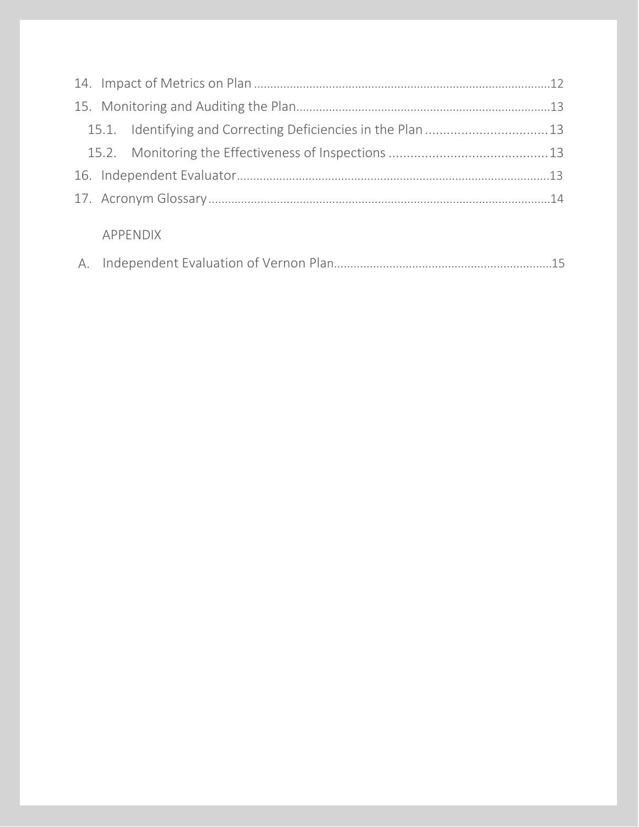|  | APPENDIX |  |
|--|----------|--|
|  |          |  |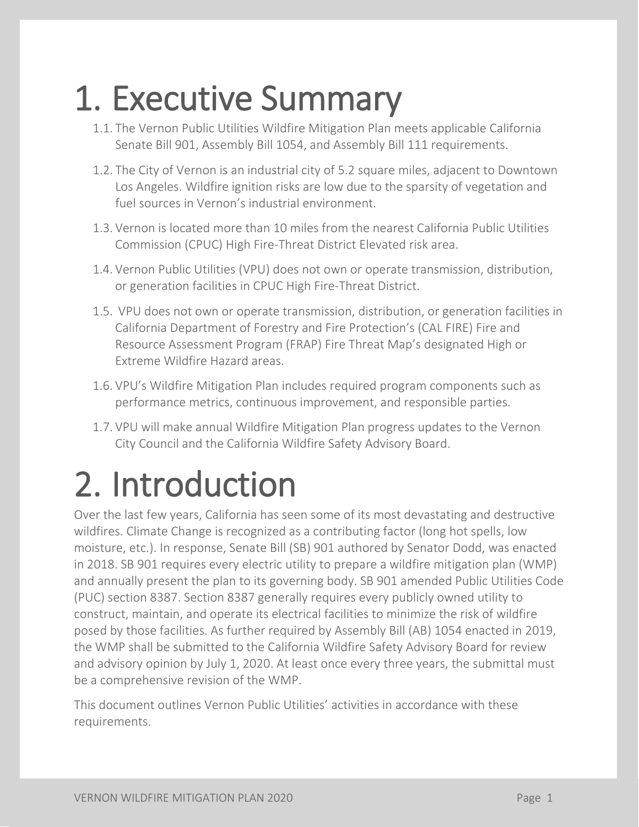## <span id="page-3-0"></span>**1. Executive Summary**<br>1.1. The Vernon Public Utilities Wildfire Mitigation Plan meets applicable California

- Senate Bill 901, Assembly Bill 1054, and Assembly Bill 111 requirements.
- 1.2. The City of Vernon is an industrial city of 5.2 square miles, adjacent to Downtown Los Angeles. Wildfire ignition risks are low due to the sparsity of vegetation and fuel sources in Vernon's industrial environment.
- 1.3. Vernon is located more than 10 miles from the nearest California Public Utilities Commission (CPUC) High Fire-Threat District Elevated risk area.
- 1.4. Vernon Public Utilities (VPU) does not own or operate transmission, distribution, or generation facilities in CPUC High Fire-Threat District.
- 1.5. VPU does not own or operate transmission, distribution, or generation facilities in California Department of Forestry and Fire Protection's (CAL FIRE) Fire and Resource Assessment Program (FRAP) Fire Threat Map's designated High or Extreme Wildfire Hazard areas.
- 1.6. VPU's Wildfire Mitigation Plan includes required program components such as performance metrics, continuous improvement, and responsible parties.
- 1.7. VPU will make annual Wildfire Mitigation Plan progress updates to the Vernon City Council and the California Wildfire Safety Advisory Board.

## <span id="page-3-1"></span>2. Introduction<br>Over the last few years, California has seen some of its most devastating and destructive

wildfires. Climate Change is recognized as a contributing factor (long hot spells, low moisture, etc.). In response, Senate Bill (SB) 901 authored by Senator Dodd, was enacted in 2018. SB 901 requires every electric utility to prepare a wildfire mitigation plan (WMP) and annually present the plan to its governing body. SB 901 amended Public Utilities Code (PUC) section 8387. Section 8387 generally requires every publicly owned utility to construct, maintain, and operate its electrical facilities to minimize the risk of wildfire posed by those facilities. As further required by Assembly Bill (AB) 1054 enacted in 2019, the WMP shall be submitted to the California Wildfire Safety Advisory Board for review and advisory opinion by July 1, 2020. At least once every three years, the submittal must be a comprehensive revision of the WMP.

This document outlines Vernon Public Utilities' activities in accordance with these requirements.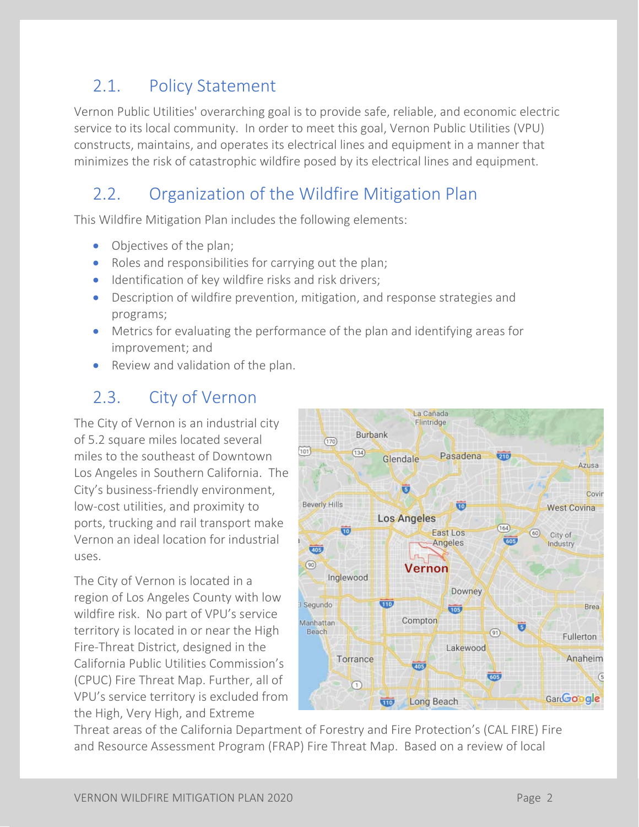### <span id="page-4-0"></span>2.1. Policy Statement

Vernon Public Utilities' overarching goal is to provide safe, reliable, and economic electric service to its local community. In order to meet this goal, Vernon Public Utilities (VPU) constructs, maintains, and operates its electrical lines and equipment in a manner that minimizes the risk of catastrophic wildfire posed by its electrical lines and equipment.

### <span id="page-4-1"></span>2.2. Organization of the Wildfire Mitigation Plan

This Wildfire Mitigation Plan includes the following elements:

- Objectives of the plan;
- Roles and responsibilities for carrying out the plan;
- Identification of key wildfire risks and risk drivers;
- Description of wildfire prevention, mitigation, and response strategies and programs;
- Metrics for evaluating the performance of the plan and identifying areas for improvement; and
- <span id="page-4-2"></span>Review and validation of the plan.

### 2.3. City of Vernon

The City of Vernon is an industrial city of 5.2 square miles located several miles to the southeast of Downtown Los Angeles in Southern California. The City's business-friendly environment, low-cost utilities, and proximity to ports, trucking and rail transport make Vernon an ideal location for industrial uses.

The City of Vernon is located in a region of Los Angeles County with low wildfire risk. No part of VPU's service territory is located in or near the High Fire-Threat District, designed in the California Public Utilities Commission's (CPUC) Fire Threat Map. Further, all of VPU's service territory is excluded from the High, Very High, and Extreme



Threat areas of the California Department of Forestry and Fire Protection's (CAL FIRE) Fire and Resource Assessment Program (FRAP) Fire Threat Map. Based on a review of local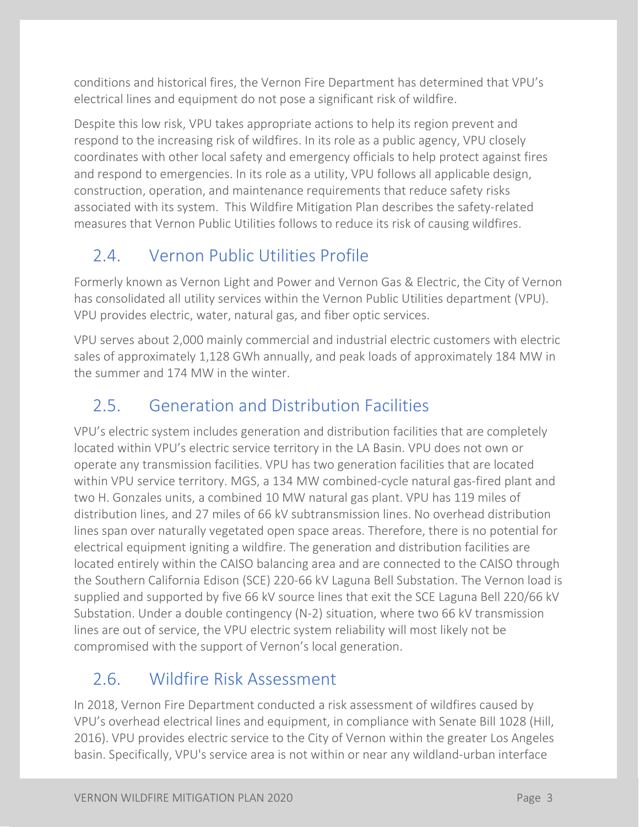conditions and historical fires, the Vernon Fire Department has determined that VPU's electrical lines and equipment do not pose a significant risk of wildfire.

Despite this low risk, VPU takes appropriate actions to help its region prevent and respond to the increasing risk of wildfires. In its role as a public agency, VPU closely coordinates with other local safety and emergency officials to help protect against fires and respond to emergencies. In its role as a utility, VPU follows all applicable design, construction, operation, and maintenance requirements that reduce safety risks associated with its system. This Wildfire Mitigation Plan describes the safety-related measures that Vernon Public Utilities follows to reduce its risk of causing wildfires.

### <span id="page-5-0"></span>2.4. Vernon Public Utilities Profile

Formerly known as Vernon Light and Power and Vernon Gas & Electric, the City of Vernon has consolidated all utility services within the Vernon Public Utilities department (VPU). VPU provides electric, water, natural gas, and fiber optic services.

VPU serves about 2,000 mainly commercial and industrial electric customers with electric sales of approximately 1,128 GWh annually, and peak loads of approximately 184 MW in the summer and 174 MW in the winter.

### <span id="page-5-1"></span>2.5. Generation and Distribution Facilities

VPU's electric system includes generation and distribution facilities that are completely located within VPU's electric service territory in the LA Basin. VPU does not own or operate any transmission facilities. VPU has two generation facilities that are located within VPU service territory. MGS, a 134 MW combined-cycle natural gas-fired plant and two H. Gonzales units, a combined 10 MW natural gas plant. VPU has 119 miles of distribution lines, and 27 miles of 66 kV subtransmission lines. No overhead distribution lines span over naturally vegetated open space areas. Therefore, there is no potential for electrical equipment igniting a wildfire. The generation and distribution facilities are located entirely within the CAISO balancing area and are connected to the CAISO through the Southern California Edison (SCE) 220-66 kV Laguna Bell Substation. The Vernon load is supplied and supported by five 66 kV source lines that exit the SCE Laguna Bell 220/66 kV Substation. Under a double contingency (N-2) situation, where two 66 kV transmission lines are out of service, the VPU electric system reliability will most likely not be compromised with the support of Vernon's local generation.

### <span id="page-5-2"></span>2.6. Wildfire Risk Assessment

In 2018, Vernon Fire Department conducted a risk assessment of wildfires caused by VPU's overhead electrical lines and equipment, in compliance with Senate Bill 1028 (Hill, 2016). VPU provides electric service to the City of Vernon within the greater Los Angeles basin. Specifically, VPU's service area is not within or near any wildland-urban interface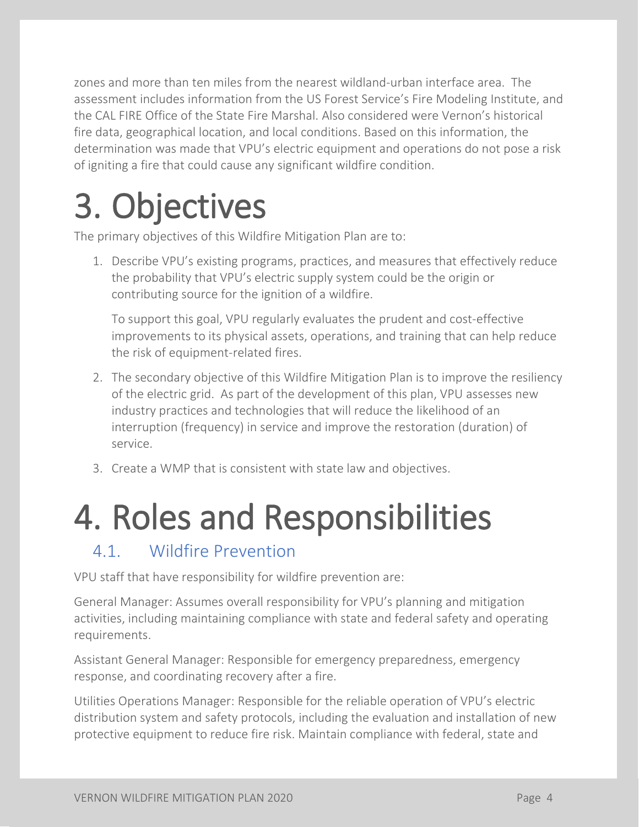zones and more than ten miles from the nearest wildland-urban interface area. The assessment includes information from the US Forest Service's Fire Modeling Institute, and the CAL FIRE Office of the State Fire Marshal. Also considered were Vernon's historical fire data, geographical location, and local conditions. Based on this information, the determination was made that VPU's electric equipment and operations do not pose a risk of igniting a fire that could cause any significant wildfire condition.

## <span id="page-6-0"></span>**3. Objectives**<br>The primary objectives of this Wildfire Mitigation Plan are to:

1. Describe VPU's existing programs, practices, and measures that effectively reduce the probability that VPU's electric supply system could be the origin or contributing source for the ignition of a wildfire.

To support this goal, VPU regularly evaluates the prudent and cost-effective improvements to its physical assets, operations, and training that can help reduce the risk of equipment-related fires.

- 2. The secondary objective of this Wildfire Mitigation Plan is to improve the resiliency of the electric grid. As part of the development of this plan, VPU assesses new industry practices and technologies that will reduce the likelihood of an interruption (frequency) in service and improve the restoration (duration) of service.
- 3. Create a WMP that is consistent with state law and objectives.

# <span id="page-6-1"></span>4. Roles and Responsibilities

<span id="page-6-2"></span>VPU staff that have responsibility for wildfire prevention are:

General Manager: Assumes overall responsibility for VPU's planning and mitigation activities, including maintaining compliance with state and federal safety and operating requirements.

Assistant General Manager: Responsible for emergency preparedness, emergency response, and coordinating recovery after a fire.

Utilities Operations Manager: Responsible for the reliable operation of VPU's electric distribution system and safety protocols, including the evaluation and installation of new protective equipment to reduce fire risk. Maintain compliance with federal, state and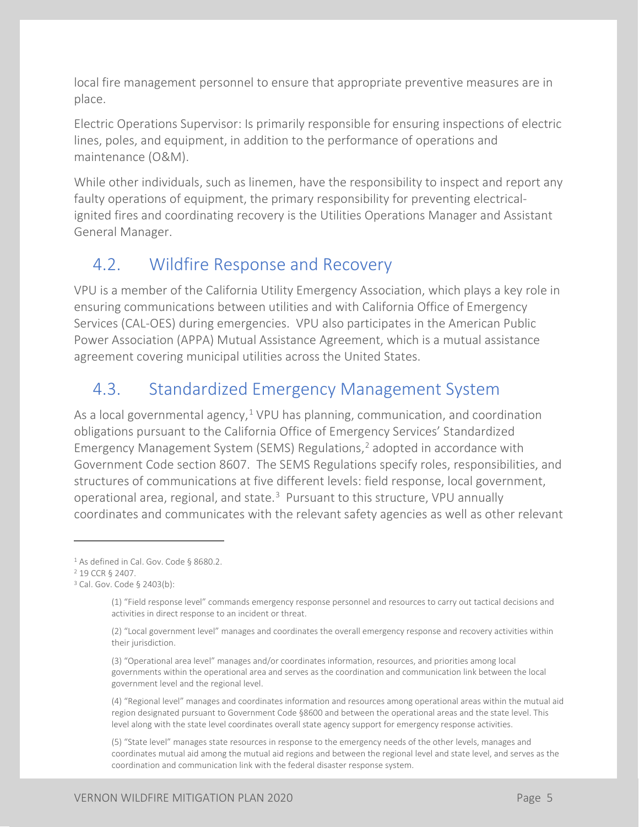local fire management personnel to ensure that appropriate preventive measures are in place.

Electric Operations Supervisor: Is primarily responsible for ensuring inspections of electric lines, poles, and equipment, in addition to the performance of operations and maintenance (O&M).

While other individuals, such as linemen, have the responsibility to inspect and report any faulty operations of equipment, the primary responsibility for preventing electricalignited fires and coordinating recovery is the Utilities Operations Manager and Assistant General Manager.

#### <span id="page-7-0"></span>4.2. Wildfire Response and Recovery

VPU is a member of the California Utility Emergency Association, which plays a key role in ensuring communications between utilities and with California Office of Emergency Services (CAL-OES) during emergencies. VPU also participates in the American Public Power Association (APPA) Mutual Assistance Agreement, which is a mutual assistance agreement covering municipal utilities across the United States.

### <span id="page-7-1"></span>4.3. Standardized Emergency Management System

As a local governmental agency, $1$  VPU has planning, communication, and coordination obligations pursuant to the California Office of Emergency Services' Standardized Emergency Management System (SEMS) Regulations,<sup>[2](#page-13-4)</sup> adopted in accordance with Government Code section 8607. The SEMS Regulations specify roles, responsibilities, and structures of communications at five different levels: field response, local government, operational area, regional, and state.[3](#page-13-5) Pursuant to this structure, VPU annually coordinates and communicates with the relevant safety agencies as well as other relevant

(3) "Operational area level" manages and/or coordinates information, resources, and priorities among local governments within the operational area and serves as the coordination and communication link between the local government level and the regional level.

(4) "Regional level" manages and coordinates information and resources among operational areas within the mutual aid region designated pursuant to Government Code §8600 and between the operational areas and the state level. This level along with the state level coordinates overall state agency support for emergency response activities.

(5) "State level" manages state resources in response to the emergency needs of the other levels, manages and coordinates mutual aid among the mutual aid regions and between the regional level and state level, and serves as the coordination and communication link with the federal disaster response system.

<sup>&</sup>lt;sup>1</sup> As defined in Cal. Gov. Code § 8680.2.

<sup>2</sup> 19 CCR § 2407.

<sup>3</sup> Cal. Gov. Code § 2403(b):

<sup>(1) &</sup>quot;Field response level" commands emergency response personnel and resources to carry out tactical decisions and activities in direct response to an incident or threat.

<sup>(2) &</sup>quot;Local government level" manages and coordinates the overall emergency response and recovery activities within their jurisdiction.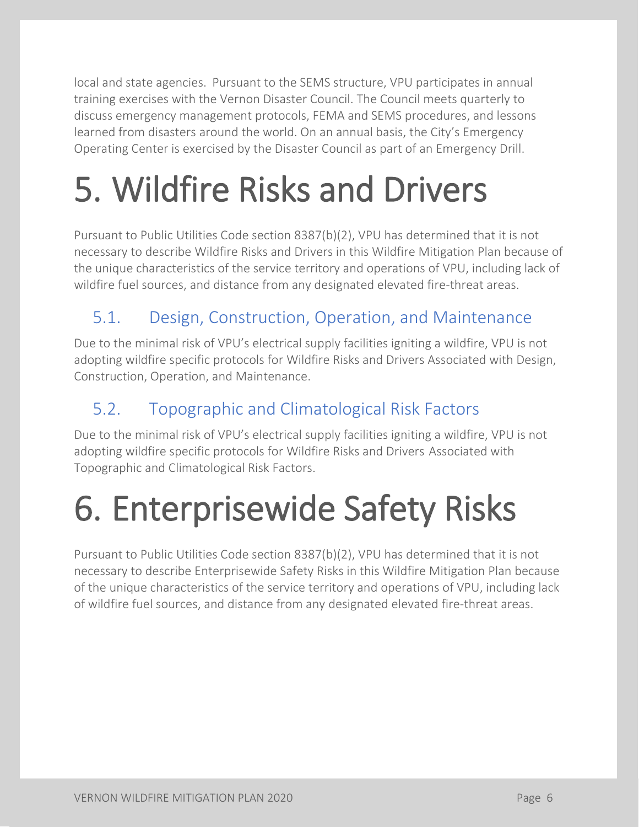local and state agencies. Pursuant to the SEMS structure, VPU participates in annual training exercises with the Vernon Disaster Council. The Council meets quarterly to discuss emergency management protocols, FEMA and SEMS procedures, and lessons learned from disasters around the world. On an annual basis, the City's Emergency Operating Center is exercised by the Disaster Council as part of an Emergency Drill.

### <span id="page-8-0"></span>5. Wildfire Risks and Drivers

Pursuant to Public Utilities Code section 8387(b)(2), VPU has determined that it is not necessary to describe Wildfire Risks and Drivers in this Wildfire Mitigation Plan because of the unique characteristics of the service territory and operations of VPU, including lack of wildfire fuel sources, and distance from any designated elevated fire-threat areas.

### <span id="page-8-1"></span>5.1. Design, Construction, Operation, and Maintenance

Due to the minimal risk of VPU's electrical supply facilities igniting a wildfire, VPU is not adopting wildfire specific protocols for Wildfire Risks and Drivers Associated with Design, Construction, Operation, and Maintenance.

### <span id="page-8-2"></span>5.2. Topographic and Climatological Risk Factors

Due to the minimal risk of VPU's electrical supply facilities igniting a wildfire, VPU is not adopting wildfire specific protocols for Wildfire Risks and Drivers Associated with Topographic and Climatological Risk Factors.

### <span id="page-8-3"></span>6. Enterprisewide Safety Risks

Pursuant to Public Utilities Code section 8387(b)(2), VPU has determined that it is not necessary to describe Enterprisewide Safety Risks in this Wildfire Mitigation Plan because of the unique characteristics of the service territory and operations of VPU, including lack of wildfire fuel sources, and distance from any designated elevated fire-threat areas.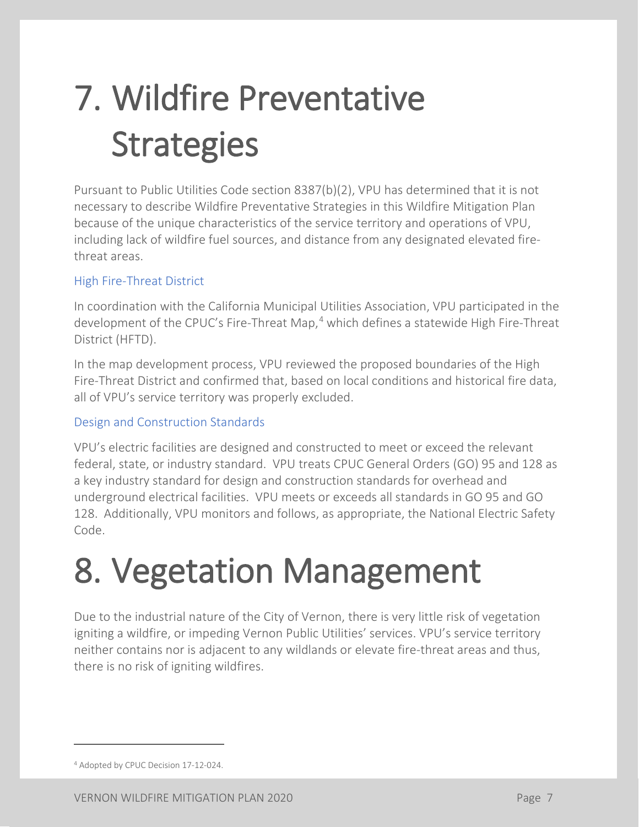## <span id="page-9-0"></span>7. Wildfire Preventative **Strategies**

Pursuant to Public Utilities Code section 8387(b)(2), VPU has determined that it is not necessary to describe Wildfire Preventative Strategies in this Wildfire Mitigation Plan because of the unique characteristics of the service territory and operations of VPU, including lack of wildfire fuel sources, and distance from any designated elevated firethreat areas.

#### High Fire-Threat District

In coordination with the California Municipal Utilities Association, VPU participated in the development of the CPUC's Fire-Threat Map,<sup>[4](#page-15-4)</sup> which defines a statewide High Fire-Threat District (HFTD).

In the map development process, VPU reviewed the proposed boundaries of the High Fire-Threat District and confirmed that, based on local conditions and historical fire data, all of VPU's service territory was properly excluded.

#### Design and Construction Standards

VPU's electric facilities are designed and constructed to meet or exceed the relevant federal, state, or industry standard. VPU treats CPUC General Orders (GO) 95 and 128 as a key industry standard for design and construction standards for overhead and underground electrical facilities. VPU meets or exceeds all standards in GO 95 and GO 128. Additionally, VPU monitors and follows, as appropriate, the National Electric Safety Code.

### <span id="page-9-1"></span>8. Vegetation Management

Due to the industrial nature of the City of Vernon, there is very little risk of vegetation igniting a wildfire, or impeding Vernon Public Utilities' services. VPU's service territory neither contains nor is adjacent to any wildlands or elevate fire-threat areas and thus, there is no risk of igniting wildfires.

 $\overline{a}$ 

<sup>4</sup> Adopted by CPUC Decision 17-12-024.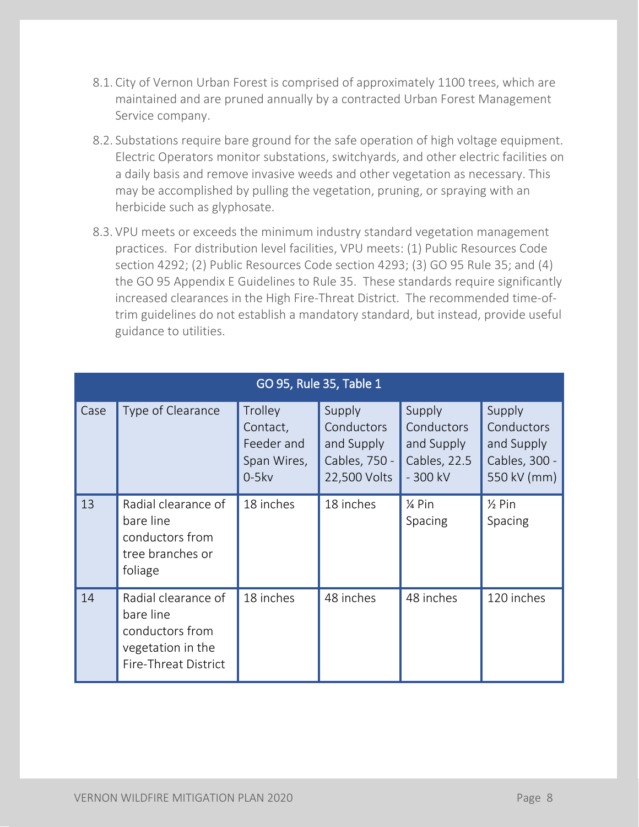- 8.1. City of Vernon Urban Forest is comprised of approximately 1100 trees, which are maintained and are pruned annually by a contracted Urban Forest Management Service company.
- 8.2. Substations require bare ground for the safe operation of high voltage equipment. Electric Operators monitor substations, switchyards, and other electric facilities on a daily basis and remove invasive weeds and other vegetation as necessary. This may be accomplished by pulling the vegetation, pruning, or spraying with an herbicide such as glyphosate.
- 8.3. VPU meets or exceeds the minimum industry standard vegetation management practices. For distribution level facilities, VPU meets: (1) Public Resources Code section 4292; (2) Public Resources Code section 4293; (3) GO 95 Rule 35; and (4) the GO 95 Appendix E Guidelines to Rule 35. These standards require significantly increased clearances in the High Fire-Threat District. The recommended time-oftrim guidelines do not establish a mandatory standard, but instead, provide useful guidance to utilities.

| GO 95, Rule 35, Table 1 |                                                                                                  |                                                             |                                                                     |                                                                 |                                                                    |  |
|-------------------------|--------------------------------------------------------------------------------------------------|-------------------------------------------------------------|---------------------------------------------------------------------|-----------------------------------------------------------------|--------------------------------------------------------------------|--|
| Case                    | Type of Clearance                                                                                | Trolley<br>Contact,<br>Feeder and<br>Span Wires,<br>$0-5kv$ | Supply<br>Conductors<br>and Supply<br>Cables, 750 -<br>22,500 Volts | Supply<br>Conductors<br>and Supply<br>Cables, 22.5<br>$-300$ kV | Supply<br>Conductors<br>and Supply<br>Cables, 300 -<br>550 kV (mm) |  |
| 13                      | Radial clearance of<br>bare line<br>conductors from<br>tree branches or<br>foliage               | 18 inches                                                   | 18 inches                                                           | 1⁄4 Pin<br>Spacing                                              | $\frac{1}{2}$ Pin<br>Spacing                                       |  |
| 14                      | Radial clearance of<br>bare line<br>conductors from<br>vegetation in the<br>Fire-Threat District | 18 inches                                                   | 48 inches                                                           | 48 inches                                                       | 120 inches                                                         |  |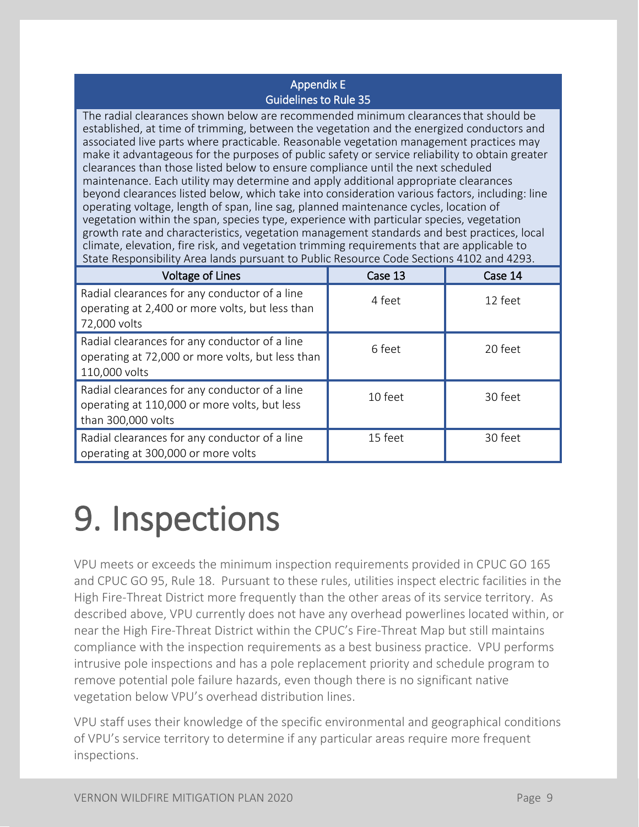#### Appendix E Guidelines to Rule 35

The radial clearances shown below are recommended minimum clearancesthat should be established, at time of trimming, between the vegetation and the energized conductors and associated live parts where practicable. Reasonable vegetation management practices may make it advantageous for the purposes of public safety or service reliability to obtain greater clearances than those listed below to ensure compliance until the next scheduled maintenance. Each utility may determine and apply additional appropriate clearances beyond clearances listed below, which take into consideration various factors, including: line operating voltage, length of span, line sag, planned maintenance cycles, location of vegetation within the span, species type, experience with particular species, vegetation growth rate and characteristics, vegetation management standards and best practices, local climate, elevation, fire risk, and vegetation trimming requirements that are applicable to State Responsibility Area lands pursuant to Public Resource Code Sections 4102 and 4293.

| <b>Voltage of Lines</b>                                                                                             | Case 13 | Case 14 |
|---------------------------------------------------------------------------------------------------------------------|---------|---------|
| Radial clearances for any conductor of a line<br>operating at 2,400 or more volts, but less than<br>72,000 volts    | 4 feet  | 12 feet |
| Radial clearances for any conductor of a line<br>operating at 72,000 or more volts, but less than<br>110,000 volts  | 6 feet  | 20 feet |
| Radial clearances for any conductor of a line<br>operating at 110,000 or more volts, but less<br>than 300,000 volts | 10 feet | 30 feet |
| Radial clearances for any conductor of a line<br>operating at 300,000 or more volts                                 | 15 feet | 30 feet |

### <span id="page-11-0"></span>9. Inspections

VPU meets or exceeds the minimum inspection requirements provided in CPUC GO 165 and CPUC GO 95, Rule 18. Pursuant to these rules, utilities inspect electric facilities in the High Fire-Threat District more frequently than the other areas of its service territory. As described above, VPU currently does not have any overhead powerlines located within, or near the High Fire-Threat District within the CPUC's Fire-Threat Map but still maintains compliance with the inspection requirements as a best business practice. VPU performs intrusive pole inspections and has a pole replacement priority and schedule program to remove potential pole failure hazards, even though there is no significant native vegetation below VPU's overhead distribution lines.

VPU staff uses their knowledge of the specific environmental and geographical conditions of VPU's service territory to determine if any particular areas require more frequent inspections.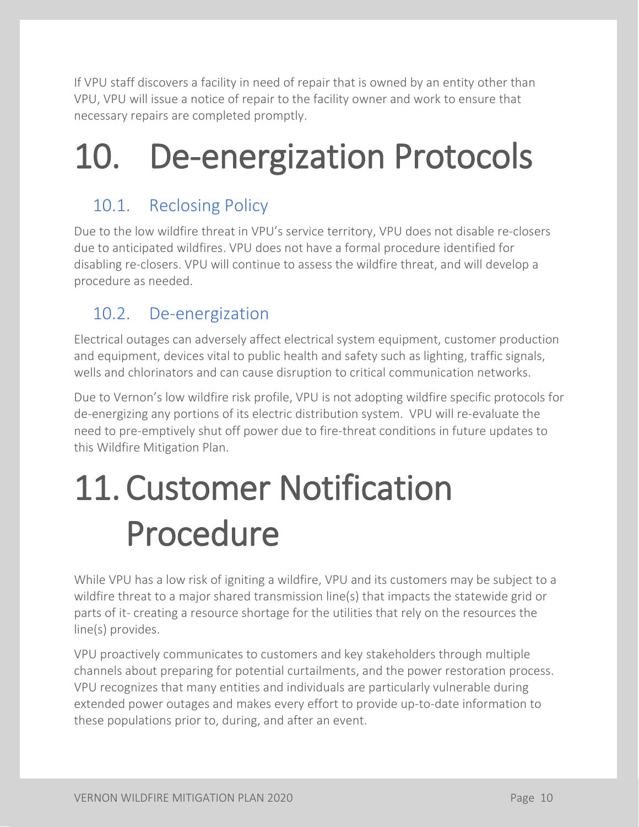If VPU staff discovers a facility in need of repair that is owned by an entity other than VPU, VPU will issue a notice of repair to the facility owner and work to ensure that necessary repairs are completed promptly.

### <span id="page-12-0"></span>10. De-energization Protocols

### <span id="page-12-1"></span>10.1. Reclosing Policy

Due to the low wildfire threat in VPU's service territory, VPU does not disable re-closers due to anticipated wildfires. VPU does not have a formal procedure identified for disabling re-closers. VPU will continue to assess the wildfire threat, and will develop a procedure as needed.

### <span id="page-12-2"></span>10.2. De-energization

Electrical outages can adversely affect electrical system equipment, customer production and equipment, devices vital to public health and safety such as lighting, traffic signals, wells and chlorinators and can cause disruption to critical communication networks.

Due to Vernon's low wildfire risk profile, VPU is not adopting wildfire specific protocols for de-energizing any portions of its electric distribution system. VPU will re-evaluate the need to pre-emptively shut off power due to fire-threat conditions in future updates to this Wildfire Mitigation Plan.

### <span id="page-12-3"></span>11.Customer Notification Procedure

While VPU has a low risk of igniting a wildfire, VPU and its customers may be subject to a wildfire threat to a major shared transmission line(s) that impacts the statewide grid or parts of it- creating a resource shortage for the utilities that rely on the resources the line(s) provides.

VPU proactively communicates to customers and key stakeholders through multiple channels about preparing for potential curtailments, and the power restoration process. VPU recognizes that many entities and individuals are particularly vulnerable during extended power outages and makes every effort to provide up-to-date information to these populations prior to, during, and after an event.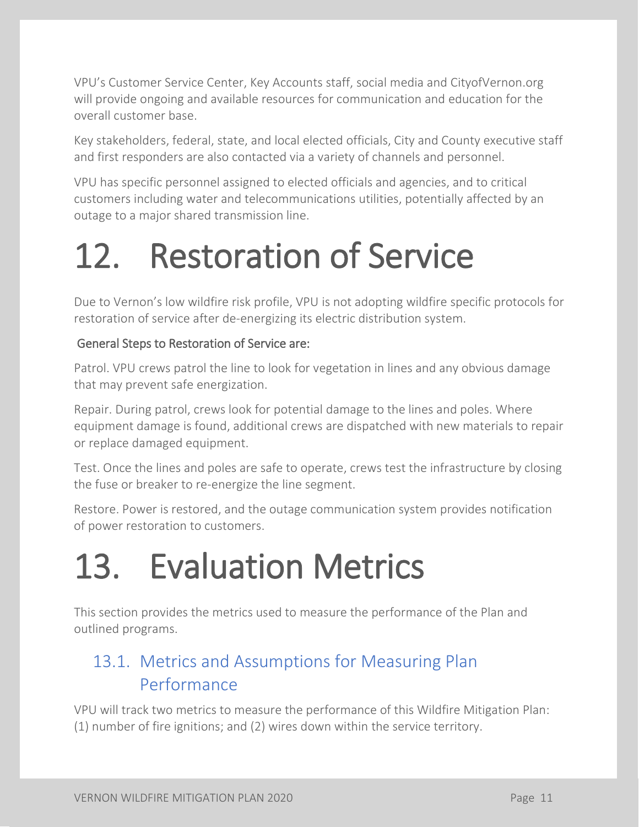VPU's Customer Service Center, Key Accounts staff, social media and CityofVernon.org will provide ongoing and available resources for communication and education for the overall customer base.

Key stakeholders, federal, state, and local elected officials, City and County executive staff and first responders are also contacted via a variety of channels and personnel.

VPU has specific personnel assigned to elected officials and agencies, and to critical customers including water and telecommunications utilities, potentially affected by an outage to a major shared transmission line.

### <span id="page-13-0"></span>12. Restoration of Service

Due to Vernon's low wildfire risk profile, VPU is not adopting wildfire specific protocols for restoration of service after de-energizing its electric distribution system.

#### General Steps to Restoration of Service are:

Patrol. VPU crews patrol the line to look for vegetation in lines and any obvious damage that may prevent safe energization.

Repair. During patrol, crews look for potential damage to the lines and poles. Where equipment damage is found, additional crews are dispatched with new materials to repair or replace damaged equipment.

Test. Once the lines and poles are safe to operate, crews test the infrastructure by closing the fuse or breaker to re-energize the line segment.

Restore. Power is restored, and the outage communication system provides notification of power restoration to customers.

### <span id="page-13-1"></span>13. Evaluation Metrics

<span id="page-13-4"></span><span id="page-13-3"></span>This section provides the metrics used to measure the performance of the Plan and outlined programs.

### <span id="page-13-2"></span>13.1. Metrics and Assumptions for Measuring Plan Performance

<span id="page-13-5"></span>VPU will track two metrics to measure the performance of this Wildfire Mitigation Plan: (1) number of fire ignitions; and (2) wires down within the service territory.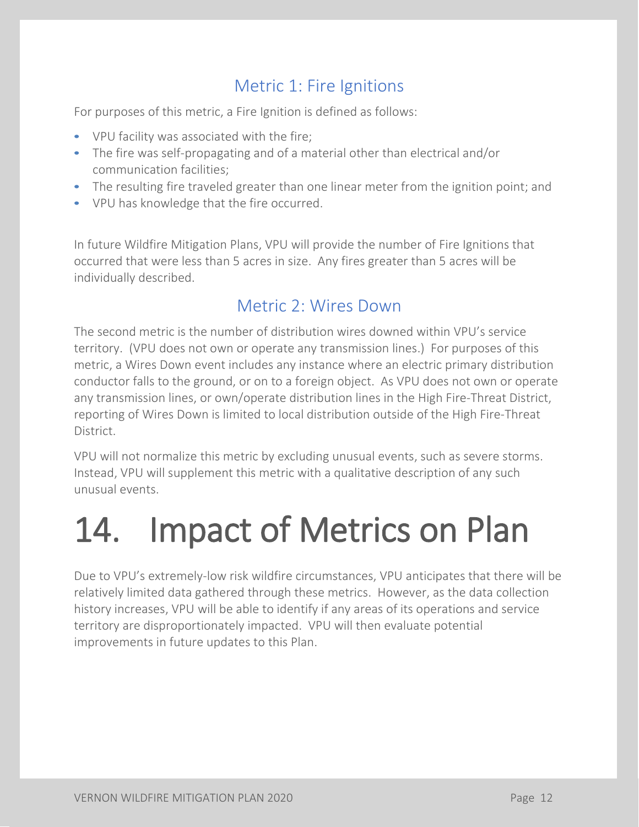#### Metric 1: Fire Ignitions

<span id="page-14-0"></span>For purposes of this metric, a Fire Ignition is defined as follows:

- VPU facility was associated with the fire;
- The fire was self-propagating and of a material other than electrical and/or communication facilities;
- The resulting fire traveled greater than one linear meter from the ignition point; and
- VPU has knowledge that the fire occurred.

In future Wildfire Mitigation Plans, VPU will provide the number of Fire Ignitions that occurred that were less than 5 acres in size. Any fires greater than 5 acres will be individually described.

#### Metric 2: Wires Down

<span id="page-14-1"></span>The second metric is the number of distribution wires downed within VPU's service territory. (VPU does not own or operate any transmission lines.) For purposes of this metric, a Wires Down event includes any instance where an electric primary distribution conductor falls to the ground, or on to a foreign object. As VPU does not own or operate any transmission lines, or own/operate distribution lines in the High Fire-Threat District, reporting of Wires Down is limited to local distribution outside of the High Fire-Threat District.

VPU will not normalize this metric by excluding unusual events, such as severe storms. Instead, VPU will supplement this metric with a qualitative description of any such unusual events.

### <span id="page-14-2"></span>14. Impact of Metrics on Plan

Due to VPU's extremely-low risk wildfire circumstances, VPU anticipates that there will be relatively limited data gathered through these metrics. However, as the data collection history increases, VPU will be able to identify if any areas of its operations and service territory are disproportionately impacted. VPU will then evaluate potential improvements in future updates to this Plan.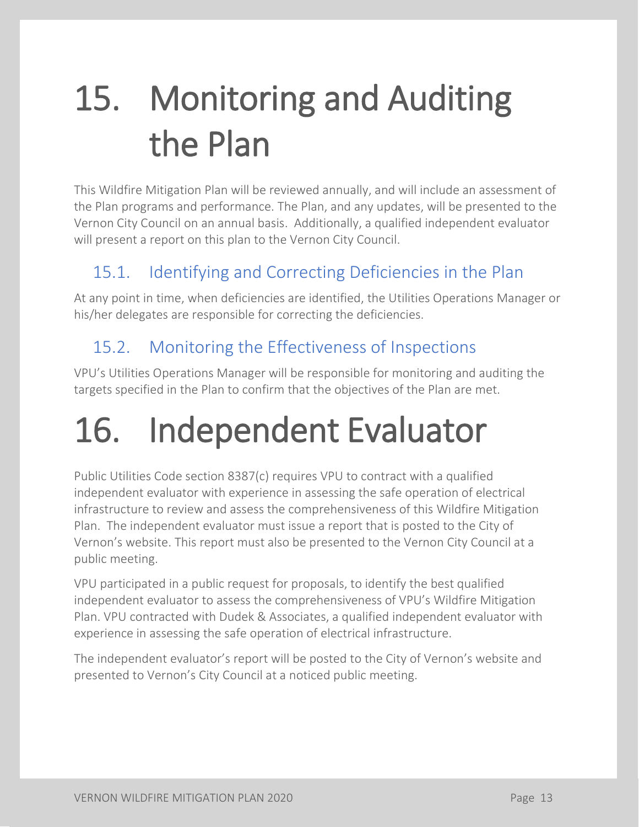## <span id="page-15-0"></span>15. Monitoring and Auditing the Plan

This Wildfire Mitigation Plan will be reviewed annually, and will include an assessment of the Plan programs and performance. The Plan, and any updates, will be presented to the Vernon City Council on an annual basis. Additionally, a qualified independent evaluator will present a report on this plan to the Vernon City Council.

#### <span id="page-15-1"></span>15.1. Identifying and Correcting Deficiencies in the Plan

At any point in time, when deficiencies are identified, the Utilities Operations Manager or his/her delegates are responsible for correcting the deficiencies.

#### <span id="page-15-2"></span>15.2. Monitoring the Effectiveness of Inspections

VPU's Utilities Operations Manager will be responsible for monitoring and auditing the targets specified in the Plan to confirm that the objectives of the Plan are met.

### <span id="page-15-3"></span>16. Independent Evaluator

Public Utilities Code section 8387(c) requires VPU to contract with a qualified independent evaluator with experience in assessing the safe operation of electrical infrastructure to review and assess the comprehensiveness of this Wildfire Mitigation Plan. The independent evaluator must issue a report that is posted to the City of Vernon's website. This report must also be presented to the Vernon City Council at a public meeting.

VPU participated in a public request for proposals, to identify the best qualified independent evaluator to assess the comprehensiveness of VPU's Wildfire Mitigation Plan. VPU contracted with Dudek & Associates, a qualified independent evaluator with experience in assessing the safe operation of electrical infrastructure.

<span id="page-15-4"></span>The independent evaluator's report will be posted to the City of Vernon's website and presented to Vernon's City Council at a noticed public meeting.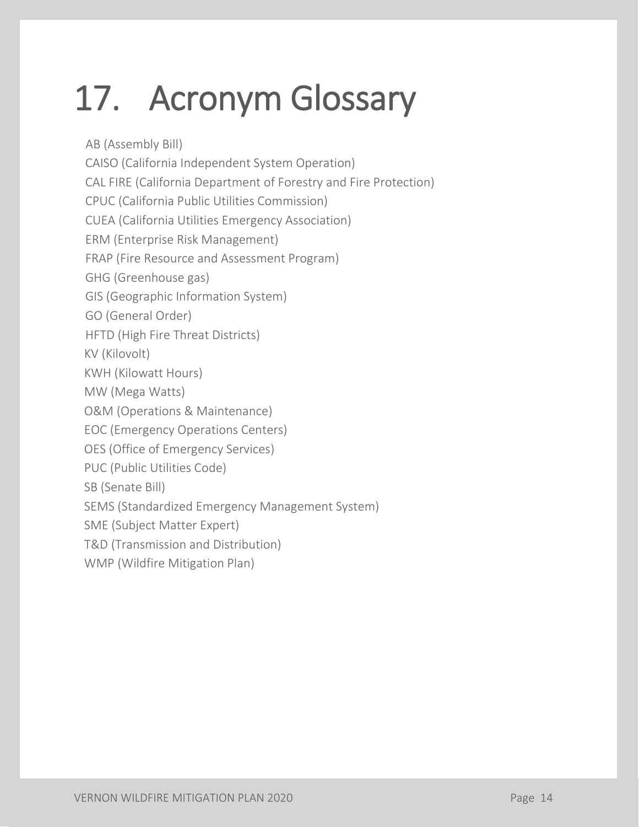## <span id="page-16-0"></span>17. Acronym Glossary

 AB (Assembly Bill) CAISO (California Independent System Operation) CAL FIRE (California Department of Forestry and Fire Protection) CPUC (California Public Utilities Commission) CUEA (California Utilities Emergency Association) ERM (Enterprise Risk Management) FRAP (Fire Resource and Assessment Program) GHG (Greenhouse gas) GIS (Geographic Information System) GO (General Order) HFTD (High Fire Threat Districts) KV (Kilovolt) KWH (Kilowatt Hours) MW (Mega Watts) O&M (Operations & Maintenance) EOC (Emergency Operations Centers) OES (Office of Emergency Services) PUC (Public Utilities Code) SB (Senate Bill) SEMS (Standardized Emergency Management System) SME (Subject Matter Expert) T&D (Transmission and Distribution) WMP (Wildfire Mitigation Plan)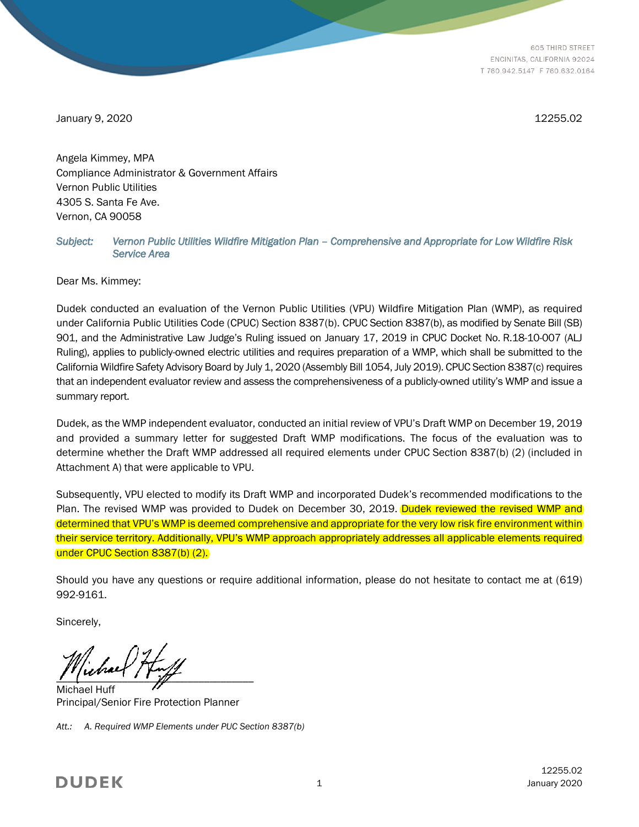605 THIRD STREET ENCINITAS, CALIFORNIA 92024 T 760.942.5147 F 760.632.0164

January 9, 2020 12255.02

Angela Kimmey, MPA Compliance Administrator & Government Affairs Vernon Public Utilities 4305 S. Santa Fe Ave. Vernon, CA 90058

#### *Subject: Vernon Public Utilities Wildfire Mitigation Plan – Comprehensive and Appropriate for Low Wildfire Risk Service Area*

Dear Ms. Kimmey:

Dudek conducted an evaluation of the Vernon Public Utilities (VPU) Wildfire Mitigation Plan (WMP), as required under California Public Utilities Code (CPUC) Section 8387(b). CPUC Section 8387(b), as modified by Senate Bill (SB) 901, and the Administrative Law Judge's Ruling issued on January 17, 2019 in CPUC Docket No. R.18-10-007 (ALJ Ruling), applies to publicly-owned electric utilities and requires preparation of a WMP, which shall be submitted to the California Wildfire Safety Advisory Board by July 1, 2020 (Assembly Bill 1054, July 2019). CPUC Section 8387(c) requires that an independent evaluator review and assess the comprehensiveness of a publicly-owned utility's WMP and issue a summary report.

Dudek, as the WMP independent evaluator, conducted an initial review of VPU's Draft WMP on December 19, 2019 and provided a summary letter for suggested Draft WMP modifications. The focus of the evaluation was to determine whether the Draft WMP addressed all required elements under CPUC Section 8387(b) (2) (included in Attachment A) that were applicable to VPU.

Subsequently, VPU elected to modify its Draft WMP and incorporated Dudek's recommended modifications to the Plan. The revised WMP was provided to Dudek on December 30, 2019. Dudek reviewed the revised WMP and determined that VPU's WMP is deemed comprehensive and appropriate for the very low risk fire environment within their service territory. Additionally, VPU's WMP approach appropriately addresses all applicable elements required under CPUC Section 8387(b) (2).

Should you have any questions or require additional information, please do not hesitate to contact me at (619) 992-9161.

Sincerely,

 $\frac{1}{\sqrt{2}}$ 

Michael Huff Principal/Senior Fire Protection Planner

*Att.: A. Required WMP Elements under PUC Section 8387(b)*